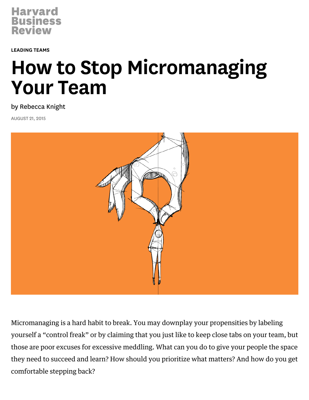

[LEADING](https://hbr.org/topic/leading-teams) TEAMS

# How to Stop Micromanaging Your Team

by [Rebecca](https://hbr.org/search?term=rebecca+knight) Knight

AUGUST 21, 2015



Micromanaging is a hard habit to break. You may downplay your propensities by labeling yourself a "[control](https://hbr.org/2014/12/what-to-do-if-your-boss-is-a-control-freak) freak" or by claiming that you just like to keep close tabs on your team, but those are poor excuses for excessive meddling. What can you do to give your people the space they need to succeed and learn? How should you prioritize what matters? And how do you get comfortable stepping back?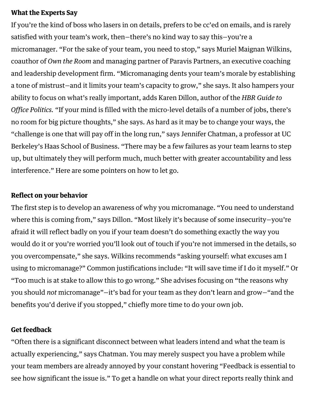## What the Experts Say

If you're the kind of boss who lasers in on details, prefers to be cc'ed on emails, and is rarely satisfied with your team's work, then—there's no kind way to say this—you're a [micromanager.](https://hbr.org/2014/11/signs-that-youre-a-micromanager) "For the sake of your team, you need to stop," says Muriel Maignan Wilkins, coauthor of Own the [Room](https://hbr.org/product/own-the-room-discover-your-signature-voice-to-mast/an/10931-HBK-ENG) and managing partner of Paravis Partners, an executive coaching and leadership development firm. "Micromanaging dents your team's morale by establishing a tone of mistrust—and it limits your team's capacity to grow," she says. It also hampers your ability to focus on what's really [important,](https://hbr.org/product/hbr-guide-to-office-politics/13989-PBK-ENG) adds Karen Dillon, author of the HBR Guide to Office Politics. "If your mind is filled with the micro-level details of a number of jobs, there's no room for big picture thoughts," she says. As hard as it may be to change your ways, the "challenge is one that will pay off in the long run," says Jennifer Chatman, a professor at UC Berkeley's Haas School of Business. "There may be a few failures as your team learns to step up, but ultimately they will perform much, much better with greater accountability and less interference." Here are some pointers on how to let go.

## Reflect on your behavior

The first step is to develop an awareness of why you micromanage. "You need to understand where this is coming from," says Dillon. "Most likely it's because of some insecurity—you're afraid it will reflect badly on you if your team doesn't do something exactly the way you would do it or you're worried you'll look out of touch if you're not immersed in the details, so you overcompensate," she says. Wilkins recommends "asking yourself: what excuses am I using to micromanage?" Common justifications include: "It will save time if I do it myself." Or "Too much is at stake to allow this to go wrong." She advises focusing on "the reasons why you should not micromanage"—it's bad for your team as they don't learn and grow—"and the benefits you'd derive if you stopped," chiefly more time to do your own job.

#### Get feedback

"Often there is a significant disconnect between what leaders intend and what the team is actually experiencing," says Chatman. You may merely suspect you have a problem while your team members are already annoyed by your constant hovering "Feedback is essential to see how significant the issue is." To get a handle on what your direct [reports](https://hbr.org/2012/05/how-to-get-feedback-when-youre) really think and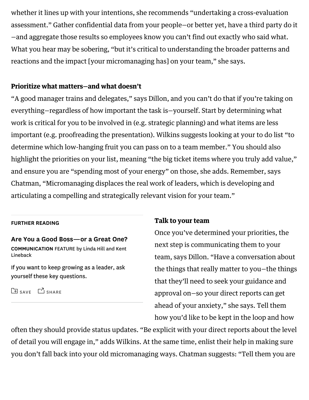whether it lines up with your intentions, she recommends "undertaking a cross-evaluation assessment." Gather confidential data from your people—or better yet, have a third party do it —and aggregate those results so employees know you can't find out exactly who said what. What you hear may be sobering, "but it's critical to understanding the broader patterns and reactions and the impact [your micromanaging has] on your team," she says.

## Prioritize what matters—and what doesn't

"A good manager trains and delegates," says Dillon, and you can't do that if you're taking on everything—regardless of how important the task is—yourself. Start by determining what work is critical for you to be involved in (e.g. strategic planning) and what items are less important (e.g. proofreading the presentation). Wilkins suggests looking at your to do list "to determine which low-hanging fruit you can pass on to a team member." You should also highlight the priorities on your list, meaning "the big ticket items where you truly add value," and ensure you are "spending most of your energy" on those, she adds. Remember, says Chatman, "Micromanaging displaces the real work of leaders, which is developing and articulating a compelling and strategically relevant vision for your team."

#### FURTHER READING

#### Are You a Good [Boss—or](https://hbr.org/2011/01/are-you-a-good-boss-or-a-great-one) a Great One? COMMUNICATION FEATURE by Linda Hill and Kent Lineback

If you want to keep growing as a leader, ask yourself these key questions.

SAVE <sup>3</sup>SHARE

#### Talk to your team

Once you've determined your priorities, the next step is communicating them to your team, says Dillon. "Have a conversation about the things that really matter to you—the things that they'll need to seek your guidance and approval on—so your direct reports can get ahead of your anxiety," she says. Tell them how you'd like to be kept in the loop and how

often they should provide status updates. "Be explicit with your direct reports about the level of detail you will engage in," adds Wilkins. At the same time, enlist their help in making sure you don't fall back into your old micromanaging ways. Chatman suggests: "Tell them you are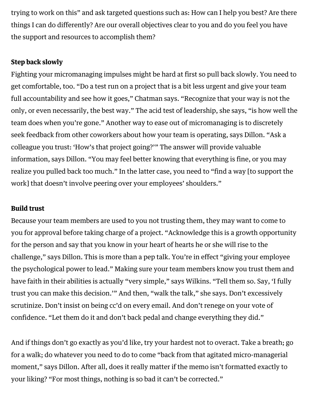trying to work on this" and ask targeted questions such as: How can I help you best? Are there things I can do differently? Are our overall objectives clear to you and do you feel you have the support and resources to accomplish them?

## Step back slowly

Fighting your micromanaging impulses might be hard at first so pull back slowly. You need to get comfortable, too. "Do a test run on a project that is a bit less urgent and give your team full accountability and see how it goes," Chatman says. "Recognize that your way is not the only, or even necessarily, the best way." The acid test of leadership, she says, "is how well the team does when you're gone." Another way to ease out of micromanaging is to discretely seek feedback from other coworkers about how your team is operating, says Dillon. "Ask a colleague you trust: 'How's that project going?'" The answer will provide valuable information, says Dillon. "You may feel better knowing that everything is fine, or you may realize you pulled back too much." In the latter case, you need to "find a way [to support the work] that doesn't involve peering over your employees' shoulders."

## Build trust

Because your team members are used to you not trusting them, they may want to come to you for approval before taking charge of a project. "Acknowledge this is a growth opportunity for the person and say that you know in your heart of hearts he or she will rise to the challenge," says Dillon. This is more than a pep talk. You're in effect "giving your employee the psychological power to lead." Making sure your team members know you trust them and have faith in their abilities is actually "very simple," says Wilkins. "Tell them so. Say, 'I fully trust you can make this decision.'" And then, "walk the talk," she says. Don't excessively scrutinize. Don't insist on being cc'd on every email. And don't renege on your vote of confidence. "Let them do it and don't back pedal and change everything they did."

And if things don't go exactly as you'd like, try your hardest not to overact. Take a breath; go for a walk; do whatever you need to do to come "back from that agitated micro-managerial moment," says Dillon. After all, does it really matter if the memo isn't formatted exactly to your liking? "For most things, nothing is so bad it can't be corrected."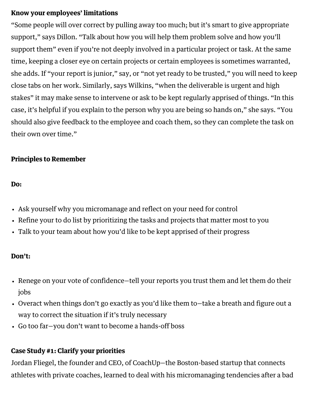## Know your employees' limitations

"Some people will over correct by pulling away too much; but it's smart to give appropriate support," says Dillon. "Talk about how you will help them problem solve and how you'll support them" even if you're not deeply involved in a particular project or task. At the same time, keeping a closer eye on certain projects or certain employees is sometimes warranted, she adds. If "your report is junior," say, or "not yet ready to be trusted," you will need to keep close tabs on her work. Similarly, says Wilkins, "when the deliverable is urgent and high stakes" it may make sense to intervene or ask to be kept regularly apprised of things. "In this case, it's helpful if you explain to the person why you are being so hands on," she says. "You should also give feedback to the employee and coach them, so they can complete the task on their own over time."

## Principles to Remember

#### Do:

- Ask yourself why you micromanage and reflect on your need for control
- Refine your to do list by prioritizing the tasks and projects that matter most to you
- Talk to your team about how you'd like to be kept apprised of their progress

## Don't:

- Renege on your vote of confidence—tell your reports you trust them and let them do their jobs
- Overact when things don't go exactly as you'd like them to—take a breath and figure out a way to correct the situation if it's truly necessary
- Go too far—you don't want to become a [hands-off](https://hbr.org/2015/06/get-what-you-need-from-your-hands-off-boss) boss

## Case Study #1: Clarify your priorities

Jordan Fliegel, the founder and CEO, of CoachUp—the Boston-based startup that connects athletes with private coaches, learned to deal with his micromanaging tendencies after a bad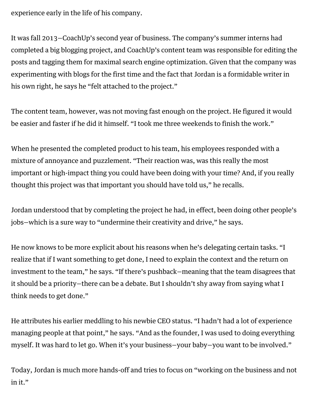experience early in the life of his company.

It was fall 2013—CoachUp's second year of business. The company's summer interns had completed a big blogging project, and CoachUp's content team was responsible for editing the posts and tagging them for maximal search engine optimization. Given that the company was experimenting with blogs for the first time and the fact that Jordan is a formidable writer in his own right, he says he "felt attached to the project."

The content team, however, was not moving fast enough on the project. He figured it would be easier and faster if he did it himself. "I took me three weekends to finish the work."

When he presented the completed product to his team, his employees responded with a mixture of annoyance and puzzlement. "Their reaction was, was this really the most important or high-impact thing you could have been doing with your time? And, if you really thought this project was that important you should have told us," he recalls.

Jordan understood that by completing the project he had, in effect, been doing other people's jobs—which is a sure way to "undermine their creativity and drive," he says.

He now knows to be more explicit about his reasons when he's delegating certain tasks. "I realize that if I want something to get done, I need to explain the context and the return on investment to the team," he says. "If there's pushback—meaning that the team disagrees that it should be a priority—there can be a debate. But I shouldn't shy away from saying what I think needs to get done."

He attributes his earlier meddling to his newbie CEO status. "I hadn't had a lot of experience managing people at that point," he says. "And as the founder, I was used to doing everything myself. It was hard to let go. When it's your business—your baby—you want to be involved."

Today, Jordan is much more hands-off and tries to focus on "working on the business and not in it."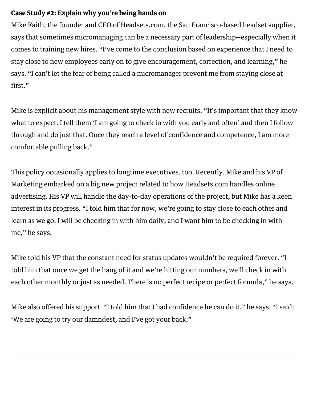## Case Study #2: Explain why you're being hands on

Mike Faith, the founder and CEO of Headsets.com, the San Francisco-based headset supplier, says that sometimes micromanaging can be a necessary part of leadership—especially when it comes to training new hires. "I've come to the conclusion based on experience that I need to stay close to new employees early on to give encouragement, correction, and learning," he says. "I can't let the fear of being called a micromanager prevent me from staying close at first."

Mike is explicit about his management style with new recruits. "It's important that they know what to expect. I tell them 'I am going to check in with you early and often' and then I follow through and do just that. Once they reach a level of confidence and competence, I am more comfortable pulling back."

This policy occasionally applies to longtime executives, too. Recently, Mike and his VP of Marketing embarked on a big new project related to how Headsets.com handles online advertising. His VP will handle the day-to-day operations of the project, but Mike has a keen interest in its progress. "I told him that for now, we're going to stay close to each other and learn as we go. I will be checking in with him daily, and I want him to be checking in with me," he says.

Mike told his VP that the constant need for status updates wouldn't be required forever. "I told him that once we get the hang of it and we're hitting our numbers, we'll check in with each other monthly or just as needed. There is no perfect recipe or perfect formula," he says.

Mike also offered his support. "I told him that I had confidence he can do it," he says. "I said: 'We are going to try our damndest, and I've got your back."